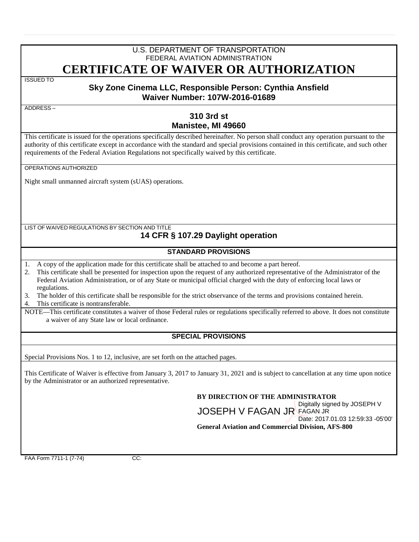### U.S. DEPARTMENT OF TRANSPORTATION FEDERAL AVIATION ADMINISTRATION **CERTIFICATE OF WAIVER OR AUTHORIZATION**

ISSUED TO

#### **Sky Zone Cinema LLC, Responsible Person: Cynthia Ansfield Waiver Number: 107W-2016-01689**

ADDRESS –

# **310 3rd st Manistee, MI 49660**

This certificate is issued for the operations specifically described hereinafter. No person shall conduct any operation pursuant to the authority of this certificate except in accordance with the standard and special provisions contained in this certificate, and such other requirements of the Federal Aviation Regulations not specifically waived by this certificate.

OPERATIONS AUTHORIZED

Night small unmanned aircraft system (sUAS) operations.

#### LIST OF WAIVED REGULATIONS BY SECTION AND TITLE **14 CFR § 107.29 Daylight operation**

# **STANDARD PROVISIONS**

- 1. A copy of the application made for this certificate shall be attached to and become a part hereof.
- 2. This certificate shall be presented for inspection upon the request of any authorized representative of the Administrator of the Federal Aviation Administration, or of any State or municipal official charged with the duty of enforcing local laws or regulations.

3. The holder of this certificate shall be responsible for the strict observance of the terms and provisions contained herein.

This certificate is nontransferable.

NOTE—This certificate constitutes a waiver of those Federal rules or regulations specifically referred to above. It does not constitute a waiver of any State law or local ordinance.

# **SPECIAL PROVISIONS**

Special Provisions Nos. 1 to 12, inclusive, are set forth on the attached pages.

This Certificate of Waiver is effective from January 3, 2017 to January 31, 2021 and is subject to cancellation at any time upon notice by the Administrator or an authorized representative.

> **BY DIRECTION OF THE ADMINISTRATOR General Aviation and Commercial Division, AFS-800** JOSEPH V FAGAN JR FAGAN JR Digitally signed by JOSEPH V Date: 2017.01.03 12:59:33 -05'00'

FAA Form 7711-1 (7-74) CC: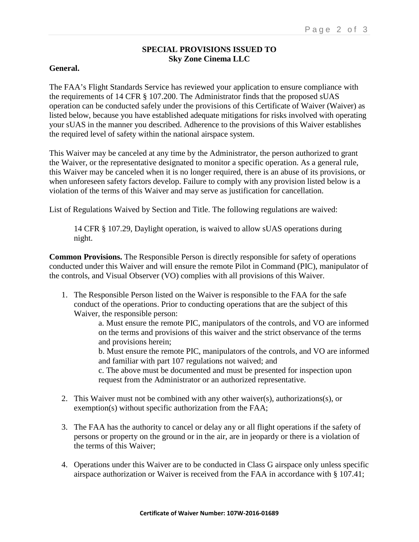### **SPECIAL PROVISIONS ISSUED TO Sky Zone Cinema LLC**

#### **General.**

The FAA's Flight Standards Service has reviewed your application to ensure compliance with the requirements of 14 CFR § 107.200. The Administrator finds that the proposed sUAS operation can be conducted safely under the provisions of this Certificate of Waiver (Waiver) as listed below, because you have established adequate mitigations for risks involved with operating your sUAS in the manner you described. Adherence to the provisions of this Waiver establishes the required level of safety within the national airspace system.

This Waiver may be canceled at any time by the Administrator, the person authorized to grant the Waiver, or the representative designated to monitor a specific operation. As a general rule, this Waiver may be canceled when it is no longer required, there is an abuse of its provisions, or when unforeseen safety factors develop. Failure to comply with any provision listed below is a violation of the terms of this Waiver and may serve as justification for cancellation.

List of Regulations Waived by Section and Title. The following regulations are waived:

14 CFR § 107.29, Daylight operation, is waived to allow sUAS operations during night.

**Common Provisions.** The Responsible Person is directly responsible for safety of operations conducted under this Waiver and will ensure the remote Pilot in Command (PIC), manipulator of the controls, and Visual Observer (VO) complies with all provisions of this Waiver.

1. The Responsible Person listed on the Waiver is responsible to the FAA for the safe conduct of the operations. Prior to conducting operations that are the subject of this Waiver, the responsible person:

> a. Must ensure the remote PIC, manipulators of the controls, and VO are informed on the terms and provisions of this waiver and the strict observance of the terms and provisions herein;

> b. Must ensure the remote PIC, manipulators of the controls, and VO are informed and familiar with part 107 regulations not waived; and

c. The above must be documented and must be presented for inspection upon request from the Administrator or an authorized representative.

- 2. This Waiver must not be combined with any other waiver(s), authorizations(s), or exemption(s) without specific authorization from the FAA;
- 3. The FAA has the authority to cancel or delay any or all flight operations if the safety of persons or property on the ground or in the air, are in jeopardy or there is a violation of the terms of this Waiver;
- 4. Operations under this Waiver are to be conducted in Class G airspace only unless specific airspace authorization or Waiver is received from the FAA in accordance with § 107.41;